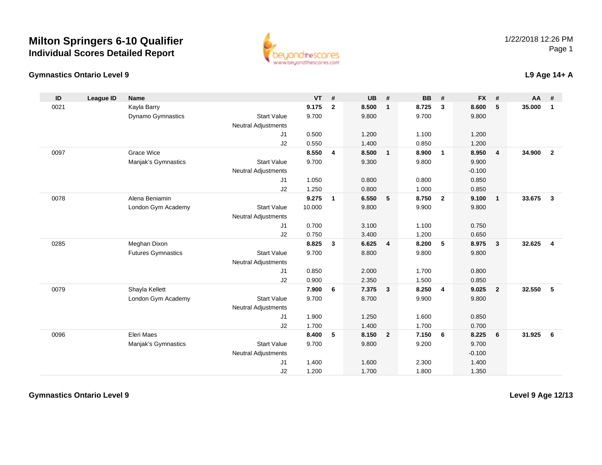## **Milton Springers 6-10 QualifierIndividual Scores Detailed Report**





## **L9 Age 14+ A**

| ID   | <b>League ID</b> | <b>Name</b>               |                            | <b>VT</b> | #              | <b>UB</b> | #              | <b>BB</b> | #              | <b>FX</b> | #              | AA     | #              |
|------|------------------|---------------------------|----------------------------|-----------|----------------|-----------|----------------|-----------|----------------|-----------|----------------|--------|----------------|
| 0021 |                  | Kayla Barry               |                            | 9.175     | $\overline{2}$ | 8.500     | $\mathbf{1}$   | 8.725     | $\mathbf{3}$   | 8.600     | 5              | 35.000 | $\mathbf{1}$   |
|      |                  | Dynamo Gymnastics         | <b>Start Value</b>         | 9.700     |                | 9.800     |                | 9.700     |                | 9.800     |                |        |                |
|      |                  |                           | <b>Neutral Adjustments</b> |           |                |           |                |           |                |           |                |        |                |
|      |                  |                           | J1                         | 0.500     |                | 1.200     |                | 1.100     |                | 1.200     |                |        |                |
|      |                  |                           | J2                         | 0.550     |                | 1.400     |                | 0.850     |                | 1.200     |                |        |                |
| 0097 |                  | Grace Wice                |                            | 8.550     | 4              | 8.500     | $\mathbf{1}$   | 8.900     | $\overline{1}$ | 8.950     | $\overline{4}$ | 34.900 | $\overline{2}$ |
|      |                  | Manjak's Gymnastics       | <b>Start Value</b>         | 9.700     |                | 9.300     |                | 9.800     |                | 9.900     |                |        |                |
|      |                  |                           | <b>Neutral Adjustments</b> |           |                |           |                |           |                | $-0.100$  |                |        |                |
|      |                  |                           | J1                         | 1.050     |                | 0.800     |                | 0.800     |                | 0.850     |                |        |                |
|      |                  |                           | J2                         | 1.250     |                | 0.800     |                | 1.000     |                | 0.850     |                |        |                |
| 0078 |                  | Alena Beniamin            |                            | 9.275     | 1              | 6.550     | 5              | 8.750     | $\overline{2}$ | 9.100     | $\mathbf{1}$   | 33.675 | $\mathbf{3}$   |
|      |                  | London Gym Academy        | <b>Start Value</b>         | 10.000    |                | 9.800     |                | 9.900     |                | 9.800     |                |        |                |
|      |                  |                           | <b>Neutral Adjustments</b> |           |                |           |                |           |                |           |                |        |                |
|      |                  |                           | J1                         | 0.700     |                | 3.100     |                | 1.100     |                | 0.750     |                |        |                |
|      |                  |                           | J2                         | 0.750     |                | 3.400     |                | 1.200     |                | 0.650     |                |        |                |
| 0285 |                  | Meghan Dixon              |                            | 8.825     | 3              | 6.625     | 4              | 8.200     | 5              | 8.975     | 3              | 32.625 | $\overline{4}$ |
|      |                  | <b>Futures Gymnastics</b> | <b>Start Value</b>         | 9.700     |                | 8.800     |                | 9.800     |                | 9.800     |                |        |                |
|      |                  |                           | <b>Neutral Adjustments</b> |           |                |           |                |           |                |           |                |        |                |
|      |                  |                           | J1                         | 0.850     |                | 2.000     |                | 1.700     |                | 0.800     |                |        |                |
|      |                  |                           | J2                         | 0.900     |                | 2.350     |                | 1.500     |                | 0.850     |                |        |                |
| 0079 |                  | Shayla Kellett            |                            | 7.900     | 6              | 7.375     | $\mathbf{3}$   | 8.250     | 4              | 9.025     | $\overline{2}$ | 32.550 | 5              |
|      |                  | London Gym Academy        | <b>Start Value</b>         | 9.700     |                | 8.700     |                | 9.900     |                | 9.800     |                |        |                |
|      |                  |                           | <b>Neutral Adjustments</b> |           |                |           |                |           |                |           |                |        |                |
|      |                  |                           | J1                         | 1.900     |                | 1.250     |                | 1.600     |                | 0.850     |                |        |                |
|      |                  |                           | J2                         | 1.700     |                | 1.400     |                | 1.700     |                | 0.700     |                |        |                |
| 0096 |                  | Eleri Maes                |                            | 8.400     | 5              | 8.150     | $\overline{2}$ | 7.150     | 6              | 8.225     | 6              | 31.925 | 6              |
|      |                  | Manjak's Gymnastics       | <b>Start Value</b>         | 9.700     |                | 9.800     |                | 9.200     |                | 9.700     |                |        |                |
|      |                  |                           | <b>Neutral Adjustments</b> |           |                |           |                |           |                | $-0.100$  |                |        |                |
|      |                  |                           | J1                         | 1.400     |                | 1.600     |                | 2.300     |                | 1.400     |                |        |                |
|      |                  |                           | J2                         | 1.200     |                | 1.700     |                | 1.800     |                | 1.350     |                |        |                |

**Gymnastics Ontario Level 9**

**Level 9 Age 12/13**